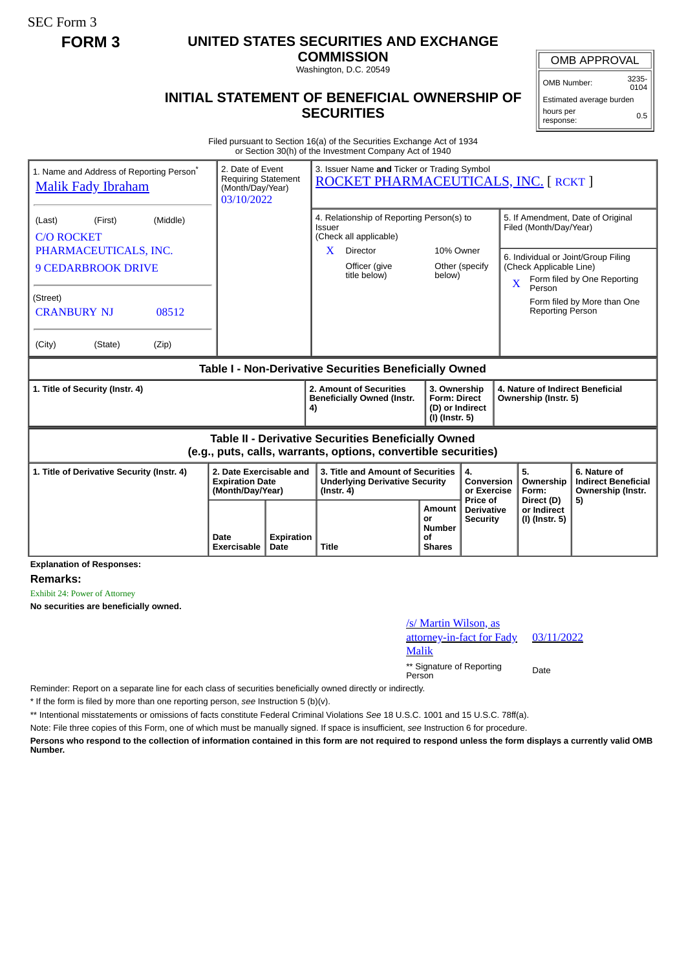SEC Form 3

## **FORM 3 UNITED STATES SECURITIES AND EXCHANGE**

**COMMISSION** Washington, D.C. 20549

## **INITIAL STATEMENT OF BENEFICIAL OWNERSHIP OF SECURITIES**

OMB APPROVAL

 $0104$ Estimated average burden hours per

response:

Filed pursuant to Section 16(a) of the Securities Exchange Act of 1934 or Section 30(h) of the Investment Company Act of 1940

| 1. Name and Address of Reporting Person*<br><b>Malik Fady Ibraham</b> | 2. Date of Event<br>(Month/Day/Year)<br>03/10/2022                    | 3. Issuer Name and Ticker or Trading Symbol<br><b>Requiring Statement</b><br>ROCKET PHARMACEUTICALS, INC. [ RCKT ]           |                                       |                                                                                             |                                                                                                                                                                                                   |                                                                       |  |  |
|-----------------------------------------------------------------------|-----------------------------------------------------------------------|------------------------------------------------------------------------------------------------------------------------------|---------------------------------------|---------------------------------------------------------------------------------------------|---------------------------------------------------------------------------------------------------------------------------------------------------------------------------------------------------|-----------------------------------------------------------------------|--|--|
| (First)<br>(Middle)<br>(Last)<br><b>C/O ROCKET</b>                    |                                                                       | 4. Relationship of Reporting Person(s) to<br><b>Issuer</b><br>(Check all applicable)                                         |                                       |                                                                                             | 5. If Amendment, Date of Original<br>Filed (Month/Day/Year)<br>6. Individual or Joint/Group Filing<br>(Check Applicable Line)<br>Form filed by One Reporting<br>$\overline{\mathbf{X}}$<br>Person |                                                                       |  |  |
| PHARMACEUTICALS, INC.<br><b>9 CEDARBROOK DRIVE</b>                    |                                                                       | Director<br>X.<br>Officer (give<br>title below)                                                                              | 10% Owner<br>Other (specify<br>below) |                                                                                             |                                                                                                                                                                                                   |                                                                       |  |  |
| (Street)<br><b>CRANBURY NJ</b><br>08512                               |                                                                       |                                                                                                                              |                                       |                                                                                             | <b>Reporting Person</b>                                                                                                                                                                           | Form filed by More than One                                           |  |  |
| (City)<br>(State)<br>(Zip)                                            |                                                                       |                                                                                                                              |                                       |                                                                                             |                                                                                                                                                                                                   |                                                                       |  |  |
| Table I - Non-Derivative Securities Beneficially Owned                |                                                                       |                                                                                                                              |                                       |                                                                                             |                                                                                                                                                                                                   |                                                                       |  |  |
| 1. Title of Security (Instr. 4)                                       |                                                                       | 2. Amount of Securities                                                                                                      |                                       | 3. Ownership<br>4. Nature of Indirect Beneficial<br>Ownership (Instr. 5)<br>(D) or Indirect |                                                                                                                                                                                                   |                                                                       |  |  |
|                                                                       |                                                                       | <b>Beneficially Owned (Instr.</b><br>4)                                                                                      | <b>Form: Direct</b><br>(I) (Instr. 5) |                                                                                             |                                                                                                                                                                                                   |                                                                       |  |  |
|                                                                       |                                                                       | <b>Table II - Derivative Securities Beneficially Owned</b><br>(e.g., puts, calls, warrants, options, convertible securities) |                                       |                                                                                             |                                                                                                                                                                                                   |                                                                       |  |  |
| 1. Title of Derivative Security (Instr. 4)                            | 2. Date Exercisable and<br><b>Expiration Date</b><br>(Month/Day/Year) | 3. Title and Amount of Securities<br><b>Underlying Derivative Security</b><br>$($ lnstr. 4 $)$                               |                                       | 4.<br>Conversion<br>or Exercise<br><b>Price of</b>                                          | 5.<br>Ownership<br>Form:<br>Direct (D)                                                                                                                                                            | 6. Nature of<br><b>Indirect Beneficial</b><br>Ownership (Instr.<br>5) |  |  |

**Explanation of Responses:**

**Remarks:**

Exhibit 24: Power of Attorney

**No securities are beneficially owned.**

| /s/ Martin Wilson, as<br>attorney-in-fact for Fady | 03/1 |
|----------------------------------------------------|------|
| Malik                                              |      |
| ** Signature of Reporting<br>Person                | Date |

03/11/2022

Reminder: Report on a separate line for each class of securities beneficially owned directly or indirectly.

\* If the form is filed by more than one reporting person, *see* Instruction 5 (b)(v).

\*\* Intentional misstatements or omissions of facts constitute Federal Criminal Violations *See* 18 U.S.C. 1001 and 15 U.S.C. 78ff(a).

Note: File three copies of this Form, one of which must be manually signed. If space is insufficient, *see* Instruction 6 for procedure.

**Persons who respond to the collection of information contained in this form are not required to respond unless the form displays a currently valid OMB Number.**

0.5

OMB Number: 3235-